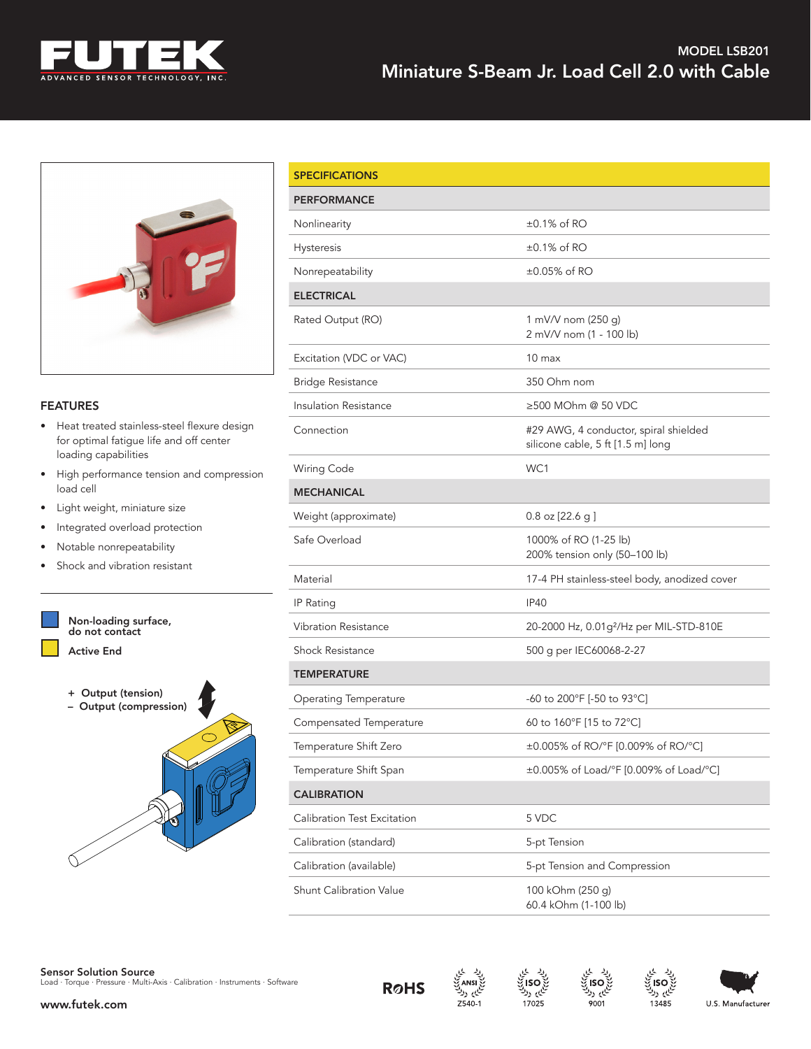



## **FEATURES**

- Heat treated stainless-steel flexure design for optimal fatigue life and off center loading capabilities
- High performance tension and compression load cell
- Light weight, miniature size
- Integrated overload protection
- Notable nonrepeatability
- Shock and vibration resistant



| <b>SPECIFICATIONS</b>        |                                                                            |  |
|------------------------------|----------------------------------------------------------------------------|--|
| <b>PERFORMANCE</b>           |                                                                            |  |
| Nonlinearity                 | $\pm 0.1\%$ of RO                                                          |  |
| Hysteresis                   | $\pm 0.1\%$ of RO                                                          |  |
| Nonrepeatability             | $\pm 0.05\%$ of RO                                                         |  |
| <b>ELECTRICAL</b>            |                                                                            |  |
| Rated Output (RO)            | 1 mV/V nom (250 g)<br>2 mV/V nom (1 - 100 lb)                              |  |
| Excitation (VDC or VAC)      | $10 \text{ max}$                                                           |  |
| <b>Bridge Resistance</b>     | 350 Ohm nom                                                                |  |
| Insulation Resistance        | ≥500 MOhm @ 50 VDC                                                         |  |
| Connection                   | #29 AWG, 4 conductor, spiral shielded<br>silicone cable, 5 ft [1.5 m] long |  |
| Wiring Code                  | WC1                                                                        |  |
| <b>MECHANICAL</b>            |                                                                            |  |
| Weight (approximate)         | $0.8$ oz $[22.6 g]$                                                        |  |
| Safe Overload                | 1000% of RO (1-25 lb)<br>200% tension only (50-100 lb)                     |  |
| Material                     | 17-4 PH stainless-steel body, anodized cover                               |  |
| IP Rating                    | <b>IP40</b>                                                                |  |
| <b>Vibration Resistance</b>  | 20-2000 Hz, 0.01g <sup>2</sup> /Hz per MIL-STD-810E                        |  |
| <b>Shock Resistance</b>      | 500 g per IEC60068-2-27                                                    |  |
| <b>TEMPERATURE</b>           |                                                                            |  |
| <b>Operating Temperature</b> | -60 to 200°F [-50 to 93°C]                                                 |  |
| Compensated Temperature      | 60 to 160°F [15 to 72°C]                                                   |  |
| Temperature Shift Zero       | ±0.005% of RO/°F [0.009% of RO/°C]                                         |  |
| Temperature Shift Span       | ±0.005% of Load/°F [0.009% of Load/°C]                                     |  |
| <b>CALIBRATION</b>           |                                                                            |  |
| Calibration Test Excitation  | 5 VDC                                                                      |  |
| Calibration (standard)       | 5-pt Tension                                                               |  |
| Calibration (available)      | 5-pt Tension and Compression                                               |  |
| Shunt Calibration Value      | 100 kOhm (250 g)<br>60.4 kOhm (1-100 lb)                                   |  |





نایم رك

 $Z540-1$ 



ایم ولا

13485



www.futek.com

ایم ردا 17025